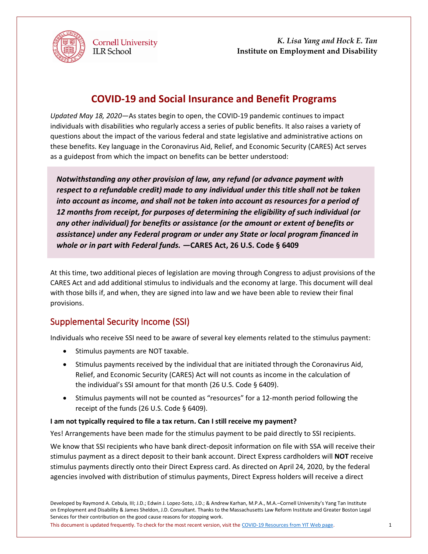

**Cornell University ILR School** 

*K. Lisa Yang and Hock E. Tan* **Institute on Employment and Disability**

# **COVID-19 and Social Insurance and Benefit Programs**

*Updated May 18, 2020*—As states begin to open, the COVID-19 pandemic continues to impact individuals with disabilities who regularly access a series of public benefits. It also raises a variety of questions about the impact of the various federal and state legislative and administrative actions on these benefits. Key language in the Coronavirus Aid, Relief, and Economic Security (CARES) Act serves as a guidepost from which the impact on benefits can be better understood:

*Notwithstanding any other provision of law, any refund (or advance payment with respect to a refundable credit) made to any individual under this title shall not be taken into account as income, and shall not be taken into account as resources for a period of 12 months from receipt, for purposes of determining the eligibility of such individual (or any other individual) for benefits or assistance (or the amount or extent of benefits or assistance) under any Federal program or under any State or local program financed in whole or in part with Federal funds. —***CARES Act, 26 U.S. Code § 6409**

At this time, two additional pieces of legislation are moving through Congress to adjust provisions of the CARES Act and add additional stimulus to individuals and the economy at large. This document will deal with those bills if, and when, they are signed into law and we have been able to review their final provisions.

# Supplemental Security Income (SSI)

Individuals who receive SSI need to be aware of several key elements related to the stimulus payment:

- Stimulus payments are NOT taxable.
- Stimulus payments received by the individual that are initiated through the Coronavirus Aid, Relief, and Economic Security (CARES) Act will not counts as income in the calculation of the individual's SSI amount for that month (26 U.S. Code § 6409).
- Stimulus payments will not be counted as "resources" for a 12-month period following the receipt of the funds (26 U.S. Code § 6409).

### **I am not typically required to file a tax return. Can I still receive my payment?**

Yes! Arrangements have been made for the stimulus payment to be paid directly to SSI recipients.

We know that SSI recipients who have bank direct-deposit information on file with SSA will receive their stimulus payment as a direct deposit to their bank account. Direct Express cardholders will **NOT** receive stimulus payments directly onto their Direct Express card. As directed on April 24, 2020, by the federal agencies involved with distribution of stimulus payments, Direct Express holders will receive a direct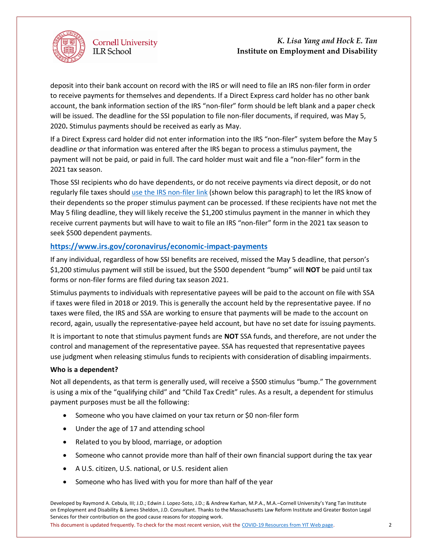

deposit into their bank account on record with the IRS or will need to file an IRS non-filer form in order to receive payments for themselves and dependents. If a Direct Express card holder has no other bank account, the bank information section of the IRS "non-filer" form should be left blank and a paper check will be issued. The deadline for the SSI population to file non-filer documents, if required, was May 5, 2020**.** Stimulus payments should be received as early as May.

If a Direct Express card holder did not enter information into the IRS "non-filer" system before the May 5 deadline *or* that information was entered after the IRS began to process a stimulus payment, the payment will not be paid, or paid in full. The card holder must wait and file a "non-filer" form in the 2021 tax season.

Those SSI recipients who do have dependents, or do not receive payments via direct deposit, or do not regularly file taxes shoul[d use the IRS non-filer](https://www.irs.gov/coronavirus/economic-impact-payments) link (shown below this paragraph) to let the IRS know of their dependents so the proper stimulus payment can be processed. If these recipients have not met the May 5 filing deadline, they will likely receive the \$1,200 stimulus payment in the manner in which they receive current payments but will have to wait to file an IRS "non-filer" form in the 2021 tax season to seek \$500 dependent payments.

### **<https://www.irs.gov/coronavirus/economic-impact-payments>**

If any individual, regardless of how SSI benefits are received, missed the May 5 deadline, that person's \$1,200 stimulus payment will still be issued, but the \$500 dependent "bump" will **NOT** be paid until tax forms or non-filer forms are filed during tax season 2021.

Stimulus payments to individuals with representative payees will be paid to the account on file with SSA if taxes were filed in 2018 or 2019. This is generally the account held by the representative payee. If no taxes were filed, the IRS and SSA are working to ensure that payments will be made to the account on record, again, usually the representative-payee held account, but have no set date for issuing payments.

It is important to note that stimulus payment funds are **NOT** SSA funds, and therefore, are not under the control and management of the representative payee. SSA has requested that representative payees use judgment when releasing stimulus funds to recipients with consideration of disabling impairments.

#### **Who is a dependent?**

Not all dependents, as that term is generally used, will receive a \$500 stimulus "bump." The government is using a mix of the "qualifying child" and "Child Tax Credit" rules. As a result, a dependent for stimulus payment purposes must be all the following:

- Someone who you have claimed on your tax return or \$0 non-filer form
- Under the age of 17 and attending school
- Related to you by blood, marriage, or adoption
- Someone who cannot provide more than half of their own financial support during the tax year
- A U.S. citizen, U.S. national, or U.S. resident alien
- Someone who has lived with you for more than half of the year

Developed by Raymond A. Cebula, III; J.D.; Edwin J. Lopez-Soto, J.D.; & Andrew Karhan, M.P.A., M.A.–Cornell University's Yang Tan Institute on Employment and Disability & James Sheldon, J.D. Consultant. Thanks to the Massachusetts Law Reform Institute and Greater Boston Legal Services for their contribution on the good cause reasons for stopping work.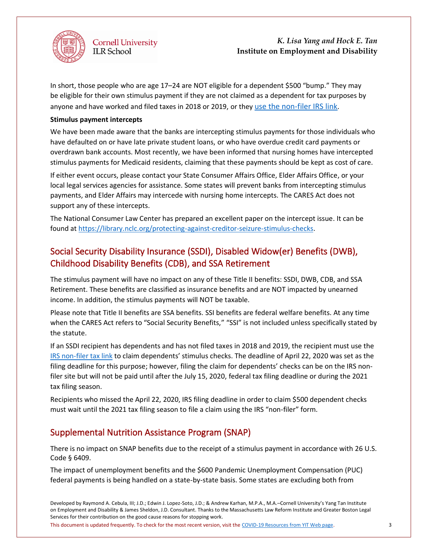

In short, those people who are age 17–24 are NOT eligible for a dependent \$500 "bump." They may be eligible for their own stimulus payment if they are not claimed as a dependent for tax purposes by anyone and have worked and filed taxes in 2018 or 2019, or they [use the non-filer IRS link](https://www.irs.gov/coronavirus/economic-impact-payments).

#### **Stimulus payment intercepts**

We have been made aware that the banks are intercepting stimulus payments for those individuals who have defaulted on or have late private student loans, or who have overdue credit card payments or overdrawn bank accounts. Most recently, we have been informed that nursing homes have intercepted stimulus payments for Medicaid residents, claiming that these payments should be kept as cost of care.

If either event occurs, please contact your State Consumer Affairs Office, Elder Affairs Office, or your local legal services agencies for assistance. Some states will prevent banks from intercepting stimulus payments, and Elder Affairs may intercede with nursing home intercepts. The CARES Act does not support any of these intercepts.

The National Consumer Law Center has prepared an excellent paper on the intercept issue. It can be found at [https://library.nclc.org/protecting-against-creditor-seizure-stimulus-checks.](https://library.nclc.org/protecting-against-creditor-seizure-stimulus-checks)

# Social Security Disability Insurance (SSDI), Disabled Widow(er) Benefits (DWB), Childhood Disability Benefits (CDB), and SSA Retirement

The stimulus payment will have no impact on any of these Title II benefits: SSDI, DWB, CDB, and SSA Retirement. These benefits are classified as insurance benefits and are NOT impacted by unearned income. In addition, the stimulus payments will NOT be taxable.

Please note that Title II benefits are SSA benefits. SSI benefits are federal welfare benefits. At any time when the CARES Act refers to "Social Security Benefits," "SSI" is not included unless specifically stated by the statute.

If an SSDI recipient has dependents and has not filed taxes in 2018 and 2019, the recipient must use the [IRS non-filer tax link](https://www.irs.gov/coronavirus/economic-impact-payments) to claim dependents' stimulus checks. The deadline of April 22, 2020 was set as the filing deadline for this purpose; however, filing the claim for dependents' checks can be on the IRS nonfiler site but will not be paid until after the July 15, 2020, federal tax filing deadline or during the 2021 tax filing season.

Recipients who missed the April 22, 2020, IRS filing deadline in order to claim \$500 dependent checks must wait until the 2021 tax filing season to file a claim using the IRS "non-filer" form.

### Supplemental Nutrition Assistance Program (SNAP)

There is no impact on SNAP benefits due to the receipt of a stimulus payment in accordance with 26 U.S. Code § 6409.

The impact of unemployment benefits and the \$600 Pandemic Unemployment Compensation (PUC) federal payments is being handled on a state-by-state basis. Some states are excluding both from

Developed by Raymond A. Cebula, III; J.D.; Edwin J. Lopez-Soto, J.D.; & Andrew Karhan, M.P.A., M.A.–Cornell University's Yang Tan Institute on Employment and Disability & James Sheldon, J.D. Consultant. Thanks to the Massachusetts Law Reform Institute and Greater Boston Legal Services for their contribution on the good cause reasons for stopping work.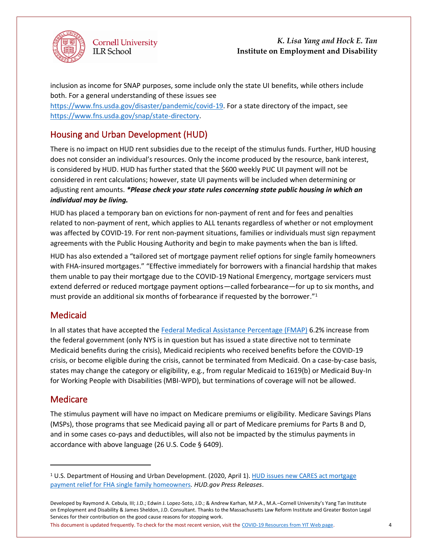

inclusion as income for SNAP purposes, some include only the state UI benefits, while others include both. For a general understanding of these issues see

[https://www.fns.usda.gov/disaster/pandemic/covid-19.](https://www.fns.usda.gov/disaster/pandemic/covid-19) For a state directory of the impact, see [https://www.fns.usda.gov/snap/state-directory.](https://www.fns.usda.gov/snap/state-directory)

# Housing and Urban Development (HUD)

**ILR School** 

There is no impact on HUD rent subsidies due to the receipt of the stimulus funds. Further, HUD housing does not consider an individual's resources. Only the income produced by the resource, bank interest, is considered by HUD. HUD has further stated that the \$600 weekly PUC UI payment will not be considered in rent calculations; however, state UI payments will be included when determining or adjusting rent amounts. *\*Please check your state rules concerning state public housing in which an individual may be living.*

HUD has placed a temporary ban on evictions for non-payment of rent and for fees and penalties related to non-payment of rent, which applies to ALL tenants regardless of whether or not employment was affected by COVID-19. For rent non-payment situations, families or individuals must sign repayment agreements with the Public Housing Authority and begin to make payments when the ban is lifted.

HUD has also extended a "tailored set of mortgage payment relief options for single family homeowners with FHA-insured mortgages." "Effective immediately for borrowers with a financial hardship that makes them unable to pay their mortgage due to the COVID-19 National Emergency, mortgage servicers must extend deferred or reduced mortgage payment options—called forbearance—for up to six months, and must provide an additional six months of forbearance if requested by the borrower." 1

## Medicaid

In all states that have accepted th[e Federal Medical Assistance Percentage \(FMAP\)](https://www.medicaid.gov/state-resource-center/downloads/covid-19-section-6008-faqs.pdf) 6.2% increase from the federal government (only NYS is in question but has issued a state directive not to terminate Medicaid benefits during the crisis), Medicaid recipients who received benefits before the COVID-19 crisis, or become eligible during the crisis, cannot be terminated from Medicaid. On a case-by-case basis, states may change the category or eligibility, e.g., from regular Medicaid to 1619(b) or Medicaid Buy-In for Working People with Disabilities (MBI-WPD), but terminations of coverage will not be allowed.

### Medicare

The stimulus payment will have no impact on Medicare premiums or eligibility. Medicare Savings Plans (MSPs), those programs that see Medicaid paying all or part of Medicare premiums for Parts B and D, and in some cases co-pays and deductibles, will also not be impacted by the stimulus payments in accordance with above language (26 U.S. Code § 6409).

<sup>&</sup>lt;sup>1</sup> U.S. Department of Housing and Urban Development. (2020, April 1). HUD issues new CARES act mortgage [payment relief for FHA single family homeowners](https://www.hud.gov/press/press_releases_media_advisories/HUD_No_20_048)*. HUD.gov Press Releases*.

Developed by Raymond A. Cebula, III; J.D.; Edwin J. Lopez-Soto, J.D.; & Andrew Karhan, M.P.A., M.A.–Cornell University's Yang Tan Institute on Employment and Disability & James Sheldon, J.D. Consultant. Thanks to the Massachusetts Law Reform Institute and Greater Boston Legal Services for their contribution on the good cause reasons for stopping work.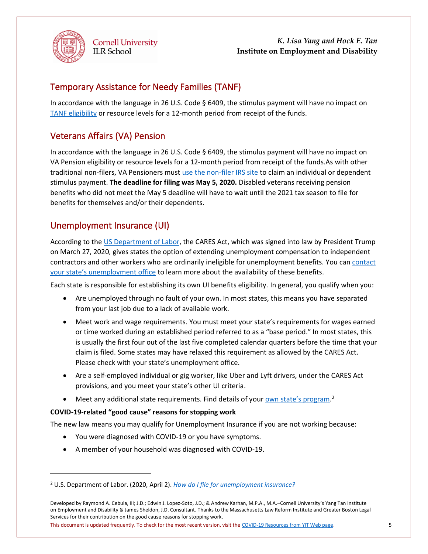

## Temporary Assistance for Needy Families (TANF)

In accordance with the language in 26 U.S. Code § 6409, the stimulus payment will have no impact on [TANF eligibility](https://www.benefits.gov/benefit/613) or resource levels for a 12-month period from receipt of the funds.

## Veterans Affairs (VA) Pension

In accordance with the language in 26 U.S. Code § 6409, the stimulus payment will have no impact on VA Pension eligibility or resource levels for a 12-month period from receipt of the funds.As with other traditional non-filers, VA Pensioners must [use the non-filer IRS](https://www.irs.gov/coronavirus/economic-impact-payments) site to claim an individual or dependent stimulus payment. **The deadline for filing was May 5, 2020.** Disabled veterans receiving pension benefits who did not meet the May 5 deadline will have to wait until the 2021 tax season to file for benefits for themselves and/or their dependents.

## Unemployment Insurance (UI)

According to the [US Department of Labor,](https://www.dol.gov/coronavirus/unemployment-insurance) the CARES Act, which was signed into law by President Trump on March 27, 2020, gives states the option of extending unemployment compensation to independent contractors and other workers who are ordinarily ineligible for unemployment benefits. You can [contact](https://www.dol.gov/coronavirus/unemployment-insurance#find-state-unemployment-insurance-contacts)  [your state's unemploym](https://www.dol.gov/coronavirus/unemployment-insurance#find-state-unemployment-insurance-contacts)ent office to learn more about the availability of these benefits.

Each state is responsible for establishing its own UI benefits eligibility. In general, you qualify when you:

- Are unemployed through no fault of your own. In most states, this means you have separated from your last job due to a lack of available work.
- Meet work and wage requirements. You must meet your state's requirements for wages earned or time worked during an established period referred to as a "base period." In most states, this is usually the first four out of the last five completed calendar quarters before the time that your claim is filed. Some states may have relaxed this requirement as allowed by the CARES Act. Please check with your state's unemployment office.
- Are a self-employed individual or gig worker, like Uber and Lyft drivers, under the CARES Act provisions, and you meet your state's other UI criteria.
- Meet any additional state requirements. Find details of your **[own state's program](https://www.careeronestop.org/LocalHelp/UnemploymentBenefits/find-unemployment-benefits.aspx).**<sup>2</sup>

### **COVID-19-related "good cause" reasons for stopping work**

The new law means you may qualify for Unemployment Insurance if you are not working because:

- You were diagnosed with COVID-19 or you have symptoms.
- A member of your household was diagnosed with COVID-19.

<sup>2</sup> U.S. Department of Labor. (2020, April 2). *[How do I file for unemployment insurance?](https://www.dol.gov/general/topic/unemployment-insurance)*

Developed by Raymond A. Cebula, III; J.D.; Edwin J. Lopez-Soto, J.D.; & Andrew Karhan, M.P.A., M.A.–Cornell University's Yang Tan Institute on Employment and Disability & James Sheldon, J.D. Consultant. Thanks to the Massachusetts Law Reform Institute and Greater Boston Legal Services for their contribution on the good cause reasons for stopping work.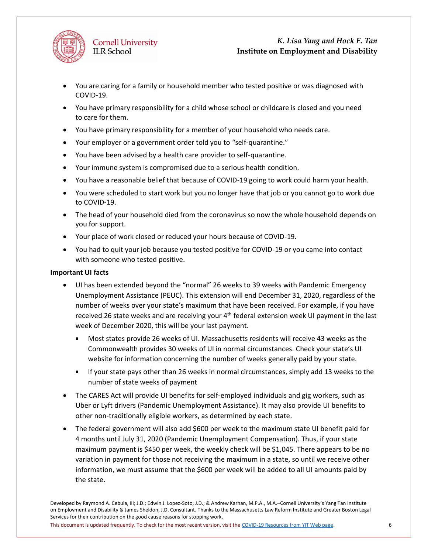

**ILR School** 

**Cornell University** 

- You are caring for a family or household member who tested positive or was diagnosed with COVID-19.
- You have primary responsibility for a child whose school or childcare is closed and you need to care for them.
- You have primary responsibility for a member of your household who needs care.
- Your employer or a government order told you to "self-quarantine."
- You have been advised by a health care provider to self-quarantine.
- Your immune system is compromised due to a serious health condition.
- You have a reasonable belief that because of COVID-19 going to work could harm your health.
- You were scheduled to start work but you no longer have that job or you cannot go to work due to COVID-19.
- The head of your household died from the coronavirus so now the whole household depends on you for support.
- Your place of work closed or reduced your hours because of COVID-19.
- You had to quit your job because you tested positive for COVID-19 or you came into contact with someone who tested positive.

### **Important UI facts**

- UI has been extended beyond the "normal" 26 weeks to 39 weeks with Pandemic Emergency Unemployment Assistance (PEUC). This extension will end December 31, 2020, regardless of the number of weeks over your state's maximum that have been received. For example, if you have received 26 state weeks and are receiving your 4<sup>th</sup> federal extension week UI payment in the last week of December 2020, this will be your last payment.
	- Most states provide 26 weeks of UI. Massachusetts residents will receive 43 weeks as the a. Commonwealth provides 30 weeks of UI in normal circumstances. Check your state's UI website for information concerning the number of weeks generally paid by your state.
	- If your state pays other than 26 weeks in normal circumstances, simply add 13 weeks to the number of state weeks of payment
- The CARES Act will provide UI benefits for self-employed individuals and gig workers, such as Uber or Lyft drivers (Pandemic Unemployment Assistance). It may also provide UI benefits to other non-traditionally eligible workers, as determined by each state.
- The federal government will also add \$600 per week to the maximum state UI benefit paid for 4 months until July 31, 2020 (Pandemic Unemployment Compensation). Thus, if your state maximum payment is \$450 per week, the weekly check will be \$1,045. There appears to be no variation in payment for those not receiving the maximum in a state, so until we receive other information, we must assume that the \$600 per week will be added to all UI amounts paid by the state.

Developed by Raymond A. Cebula, III; J.D.; Edwin J. Lopez-Soto, J.D.; & Andrew Karhan, M.P.A., M.A.–Cornell University's Yang Tan Institute on Employment and Disability & James Sheldon, J.D. Consultant. Thanks to the Massachusetts Law Reform Institute and Greater Boston Legal Services for their contribution on the good cause reasons for stopping work.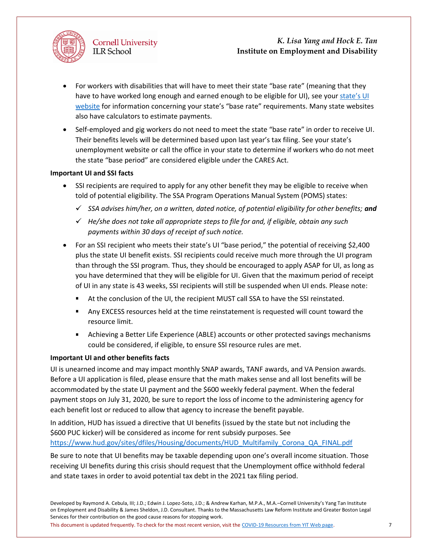

**Cornell University** 

**ILR School** 

- For workers with disabilities that will have to meet their state "base rate" (meaning that they have to have worked long enough and earned enough to be eligible for UI), see your [state's UI](https://www.careeronestop.org/LocalHelp/UnemploymentBenefits/find-unemployment-benefits.aspx) [website](https://www.careeronestop.org/LocalHelp/UnemploymentBenefits/find-unemployment-benefits.aspx) for information concerning your state's "base rate" requirements. Many state websites also have calculators to estimate payments.
- Self-employed and gig workers do not need to meet the state "base rate" in order to receive UI. Their benefits levels will be determined based upon last year's tax filing. See your state's unemployment website or call the office in your state to determine if workers who do not meet the state "base period" are considered eligible under the CARES Act.

#### **Important UI and SSI facts**

- SSI recipients are required to apply for any other benefit they may be eligible to receive when told of potential eligibility. The SSA Program Operations Manual System (POMS) states:
	- *SSA advises him/her, on a written, dated notice, of potential eligibility for other benefits; and*
	- *He/she does not take all appropriate steps to file for and, if eligible, obtain any such payments within 30 days of receipt of such notice.*
- For an SSI recipient who meets their state's UI "base period," the potential of receiving \$2,400 plus the state UI benefit exists. SSI recipients could receive much more through the UI program than through the SSI program. Thus, they should be encouraged to apply ASAP for UI, as long as you have determined that they will be eligible for UI. Given that the maximum period of receipt of UI in any state is 43 weeks, SSI recipients will still be suspended when UI ends. Please note:
	- At the conclusion of the UI, the recipient MUST call SSA to have the SSI reinstated.
	- **Any EXCESS resources held at the time reinstatement is requested will count toward the** resource limit.
	- Achieving a Better Life Experience (ABLE) accounts or other protected savings mechanisms could be considered, if eligible, to ensure SSI resource rules are met.

#### **Important UI and other benefits facts**

UI is unearned income and may impact monthly SNAP awards, TANF awards, and VA Pension awards. Before a UI application is filed, please ensure that the math makes sense and all lost benefits will be accommodated by the state UI payment and the \$600 weekly federal payment. When the federal payment stops on July 31, 2020, be sure to report the loss of income to the administering agency for each benefit lost or reduced to allow that agency to increase the benefit payable.

In addition, HUD has issued a directive that UI benefits (issued by the state but not including the \$600 PUC kicker) will be considered as income for rent subsidy purposes. See [https://www.hud.gov/sites/dfiles/Housing/documents/HUD\\_Multifamily\\_Corona\\_QA\\_FINAL.pdf](https://www.hud.gov/sites/dfiles/Housing/documents/HUD_Multifamily_Corona_QA_FINAL.pdf)

Be sure to note that UI benefits may be taxable depending upon one's overall income situation. Those receiving UI benefits during this crisis should request that the Unemployment office withhold federal and state taxes in order to avoid potential tax debt in the 2021 tax filing period.

Developed by Raymond A. Cebula, III; J.D.; Edwin J. Lopez-Soto, J.D.; & Andrew Karhan, M.P.A., M.A.–Cornell University's Yang Tan Institute on Employment and Disability & James Sheldon, J.D. Consultant. Thanks to the Massachusetts Law Reform Institute and Greater Boston Legal Services for their contribution on the good cause reasons for stopping work.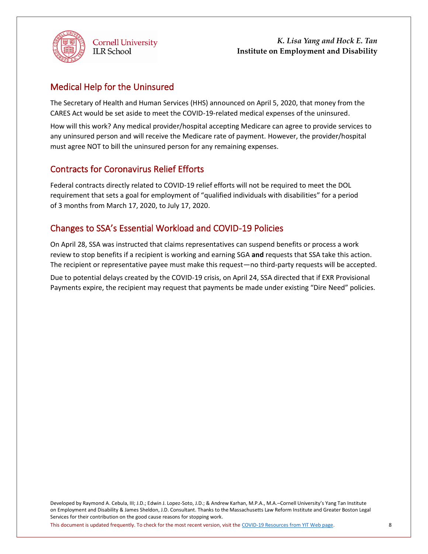

### Medical Help for the Uninsured

The Secretary of Health and Human Services (HHS) announced on April 5, 2020, that money from the CARES Act would be set aside to meet the COVID-19-related medical expenses of the uninsured.

How will this work? Any medical provider/hospital accepting Medicare can agree to provide services to any uninsured person and will receive the Medicare rate of payment. However, the provider/hospital must agree NOT to bill the uninsured person for any remaining expenses.

### Contracts for Coronavirus Relief Efforts

Federal contracts directly related to COVID-19 relief efforts will not be required to meet the DOL requirement that sets a goal for employment of "qualified individuals with disabilities" for a period of 3 months from March 17, 2020, to July 17, 2020.

## Changes to SSA's Essential Workload and COVID-19 Policies

On April 28, SSA was instructed that claims representatives can suspend benefits or process a work review to stop benefits if a recipient is working and earning SGA **and** requests that SSA take this action. The recipient or representative payee must make this request—no third-party requests will be accepted.

Due to potential delays created by the COVID-19 crisis, on April 24, SSA directed that if EXR Provisional Payments expire, the recipient may request that payments be made under existing "Dire Need" policies.

Developed by Raymond A. Cebula, III; J.D.; Edwin J. Lopez-Soto, J.D.; & Andrew Karhan, M.P.A., M.A.–Cornell University's Yang Tan Institute on Employment and Disability & James Sheldon, J.D. Consultant. Thanks to the Massachusetts Law Reform Institute and Greater Boston Legal Services for their contribution on the good cause reasons for stopping work.